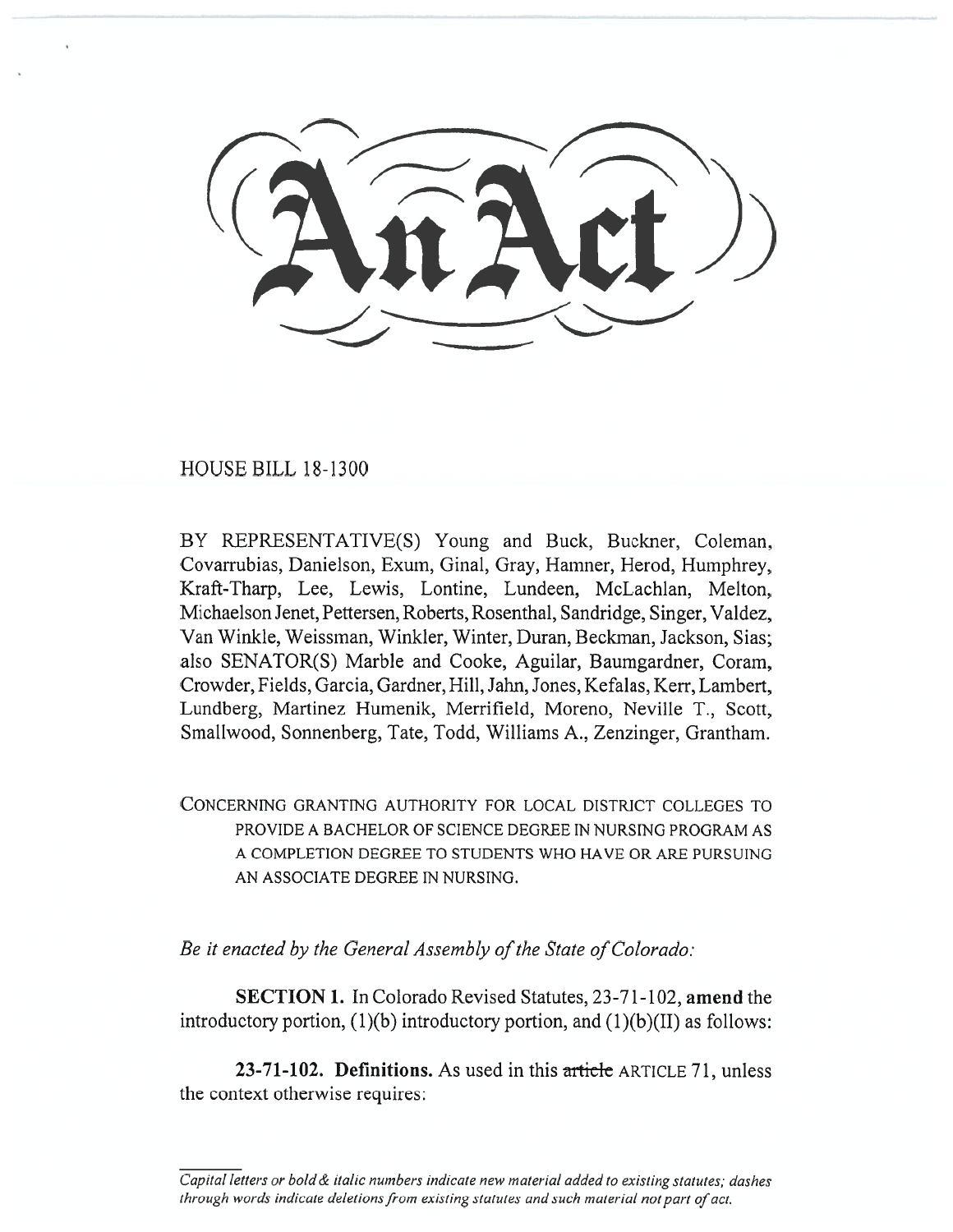HOUSE BILL 18-1300

BY REPRESENTATIVE(S) Young and Buck, Buckner, Coleman, Covarrubias, Danielson, Exum, Ginal, Gray, Hamner, Herod, Humphrey, Kraft-Tharp, Lee, Lewis, Lontine, Lundeen, McLachlan, Melton, Michaelson Jenet, Pettersen, Roberts, Rosenthal, Sandridge, Singer, Valdez, Van Winkle, Weissman, Winkler, Winter, Duran, Beckman, Jackson, Sias; also SENATOR(S) Marble and Cooke, Aguilar, Baumgardner, Coram, Crowder, Fields, Garcia, Gardner, Hill, Jahn, Jones, Kefalas, Kerr, Lambert, Lundberg, Martinez Humenik, Merrifield, Moreno, Neville T., Scott, Smallwood, Sonnenberg, Tate, Todd, Williams A., Zenzinger, Grantham.

CONCERNING GRANTING AUTHORITY FOR LOCAL DISTRICT COLLEGES TO PROVIDE A BACHELOR OF SCIENCE DEGREE IN NURSING PROGRAM AS A COMPLETION DEGREE TO STUDENTS WHO HAVE OR ARE PURSUING AN ASSOCIATE DEGREE IN NURSING.

*Be it enacted by the General Assembly of the State of Colorado:* 

**SECTION 1.** In Colorado Revised Statutes, 23-71-102, **amend** the introductory portion,  $(1)(b)$  introductory portion, and  $(1)(b)(II)$  as follows:

**23-71-102. Definitions.** As used in this article ARTICLE 71, unless the context otherwise requires:

*Capital letters or bold & italic numbers indicate new material added to existing statutes; dashes through words indicate deletions from existing statutes and such material not part of act.*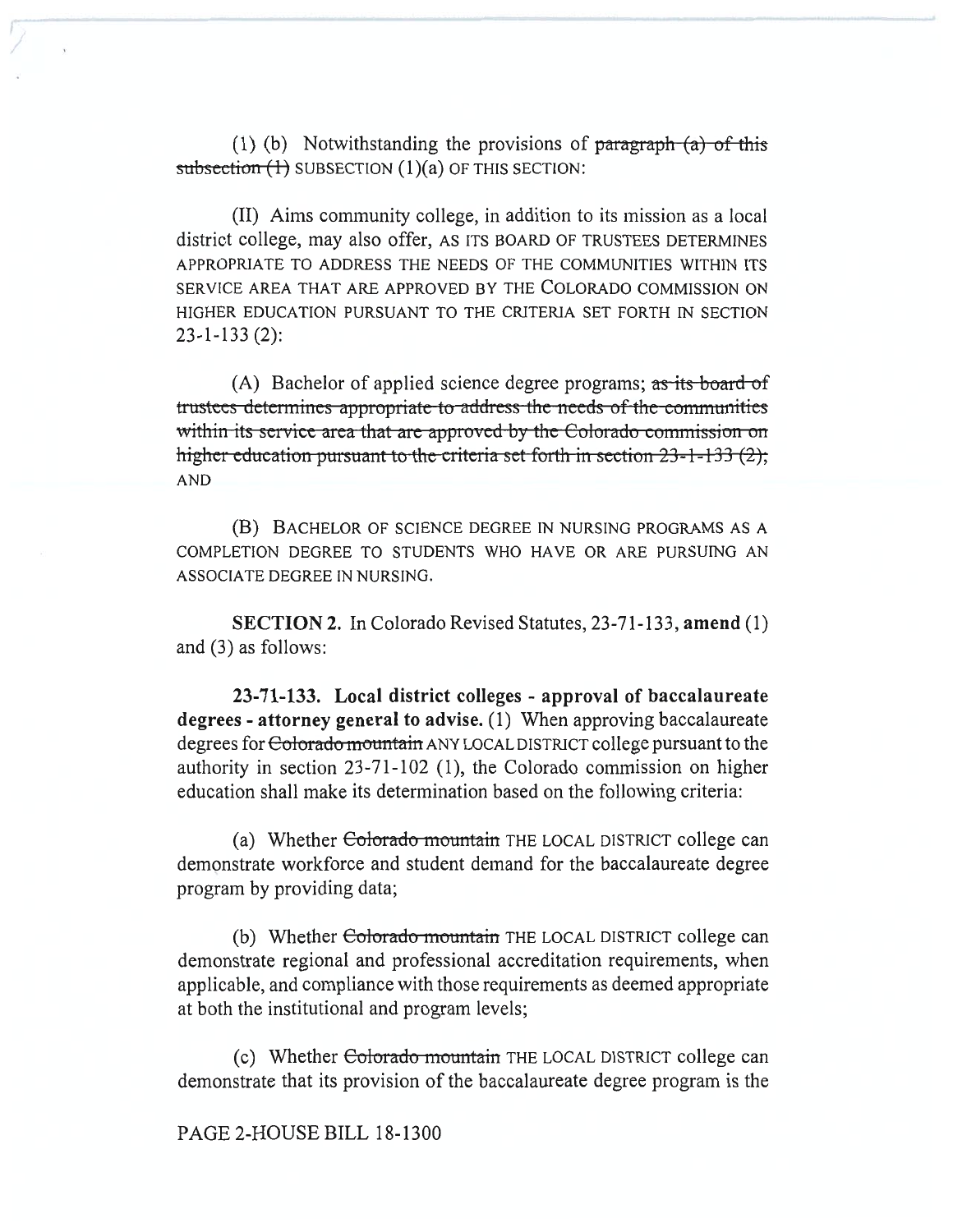(1) (b) Notwithstanding the provisions of paragraph  $(a)$  of this subsection  $(1)$  SUBSECTION  $(1)(a)$  OF THIS SECTION:

(II) Aims community college, in addition to its mission as a local district college, may also offer, AS ITS BOARD OF TRUSTEES DETERMINES APPROPRIATE TO ADDRESS THE NEEDS OF THE COMMUNITIES WITHIN ITS SERVICE AREA THAT ARE APPROVED BY THE COLORADO COMMISSION ON HIGHER EDUCATION PURSUANT TO THE CRITERIA SET FORTH IN SECTION 23-1-133 (2):

(A) Bachelor of applied science degree programs; as its board of trustees determines appropriate to address the needs of the communities within its service area that are approved by the Colorado commission on higher education pursuant to the criteria set forth in section 23-1-133 (2); AND

(B) BACHELOR OF SCIENCE DEGREE IN NURSING PROGRAMS AS A COMPLETION DEGREE TO STUDENTS WHO HAVE OR ARE PURSUING AN ASSOCIATE DEGREE IN NURSING.

**SECTION 2.** In Colorado Revised Statutes, 23-71-133, **amend** (1) and (3) as follows:

**23-71-133. Local district colleges - approval of baccalaureate degrees - attorney general to advise.** (1) When approving baccalaureate degrees for Colorado mountain ANY LOCAL DISTRICT college pursuant to the authority in section 23-71-102 (1), the Colorado commission on higher education shall make its determination based on the following criteria:

(a) Whether Colorado mountain THE LOCAL DISTRICT college can demonstrate workforce and student demand for the baccalaureate degree program by providing data;

(b) Whether Colorado mountain THE LOCAL DISTRICT college can demonstrate regional and professional accreditation requirements, when applicable, and compliance with those requirements as deemed appropriate at both the institutional and program levels;

(c) Whether Colorado mountain THE LOCAL DISTRICT college can demonstrate that its provision of the baccalaureate degree program is the

PAGE 2-HOUSE BILL 18-1300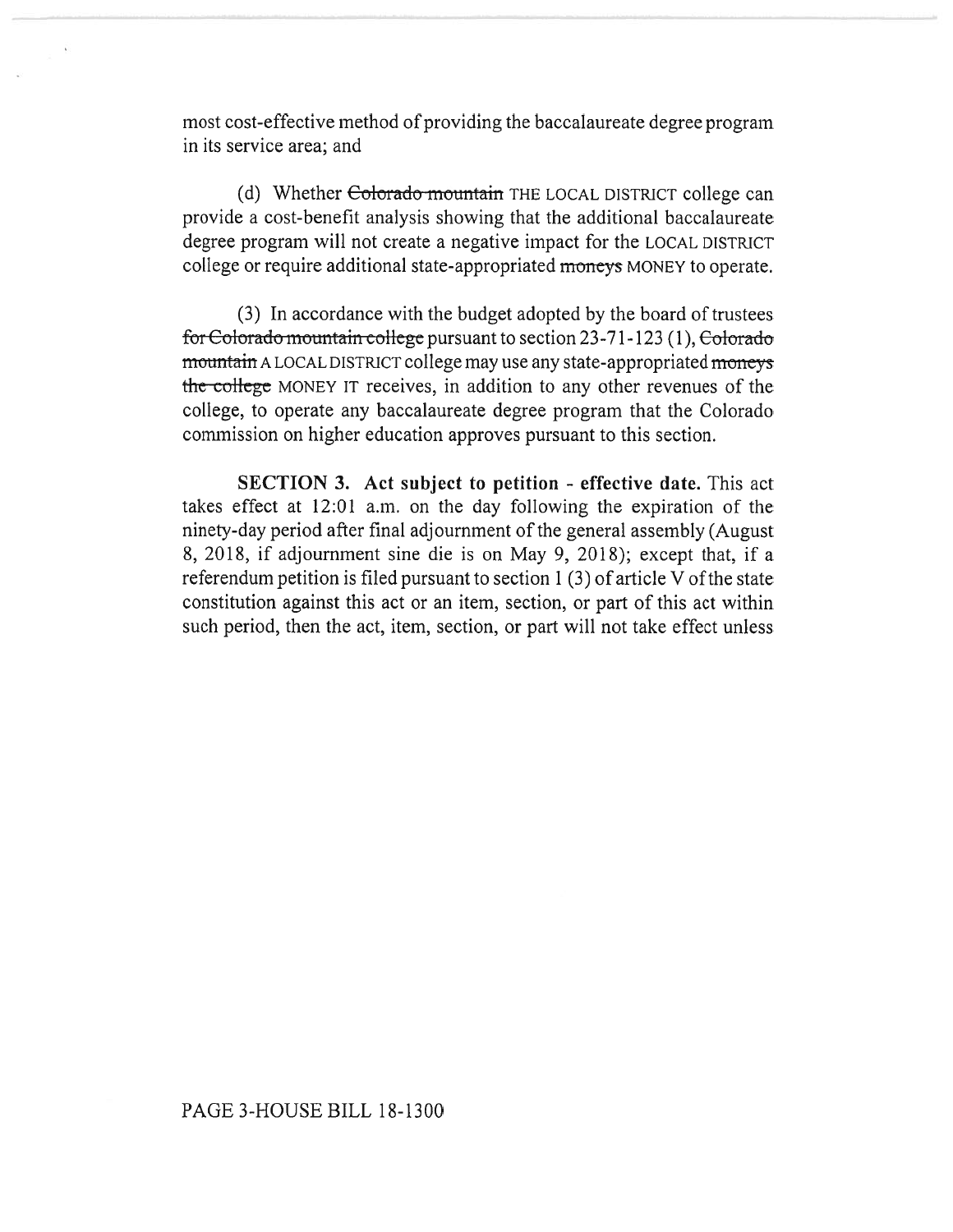most cost-effective method of providing the baccalaureate degree program in its service area; and

(d) Whether Colorado mountain THE LOCAL DISTRICT college can provide a cost-benefit analysis showing that the additional baccalaureate degree program will not create a negative impact for the LOCAL DISTRICT college or require additional state-appropriated **moneys** MONEY to operate.

(3) In accordance with the budget adopted by the board of trustees for Colorado mountain college pursuant to section 23-71-123 (1), Colorado mountain A LOCAL DISTRICT college may use any state-appropriated **moneys the-college** MONEY IT receives, in addition to any other revenues of the college, to operate any baccalaureate degree program that the Colorado commission on higher education approves pursuant to this section.

**SECTION 3. Act subject to petition - effective date.** This act takes effect at 12:01 a.m. on the day following the expiration of the ninety-day period after final adjournment of the general assembly (August 8, 2018, if adjournment sine die is on May 9, 2018); except that, if a referendum petition is filed pursuant to section 1 (3) of article V of the state constitution against this act or an item, section, or part of this act within such period, then the act, item, section, or part will not take effect unless